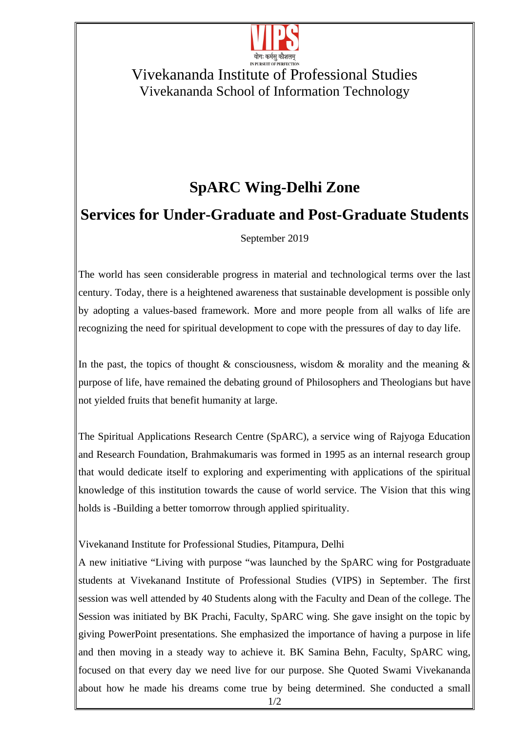

### Vivekananda Institute of Professional Studies Vivekananda School of Information Technology

# **SpARC Wing-Delhi Zone**

## **Services for Under-Graduate and Post-Graduate Students**

#### September 2019

The world has seen considerable progress in material and technological terms over the last century. Today, there is a heightened awareness that sustainable development is possible only by adopting a values-based framework. More and more people from all walks of life are recognizing the need for spiritual development to cope with the pressures of day to day life.

In the past, the topics of thought & consciousness, wisdom & morality and the meaning & purpose of life, have remained the debating ground of Philosophers and Theologians but have not yielded fruits that benefit humanity at large.

The Spiritual Applications Research Centre (SpARC), a service wing of Rajyoga Education and Research Foundation, Brahmakumaris was formed in 1995 as an internal research group that would dedicate itself to exploring and experimenting with applications of the spiritual knowledge of this institution towards the cause of world service. The Vision that this wing holds is -Building a better tomorrow through applied spirituality.

#### Vivekanand Institute for Professional Studies, Pitampura, Delhi

A new initiative "Living with purpose "was launched by the SpARC wing for Postgraduate students at Vivekanand Institute of Professional Studies (VIPS) in September. The first session was well attended by 40 Students along with the Faculty and Dean of the college. The Session was initiated by BK Prachi, Faculty, SpARC wing. She gave insight on the topic by giving PowerPoint presentations. She emphasized the importance of having a purpose in life and then moving in a steady way to achieve it. BK Samina Behn, Faculty, SpARC wing, focused on that every day we need live for our purpose. She Quoted Swami Vivekananda about how he made his dreams come true by being determined. She conducted a small